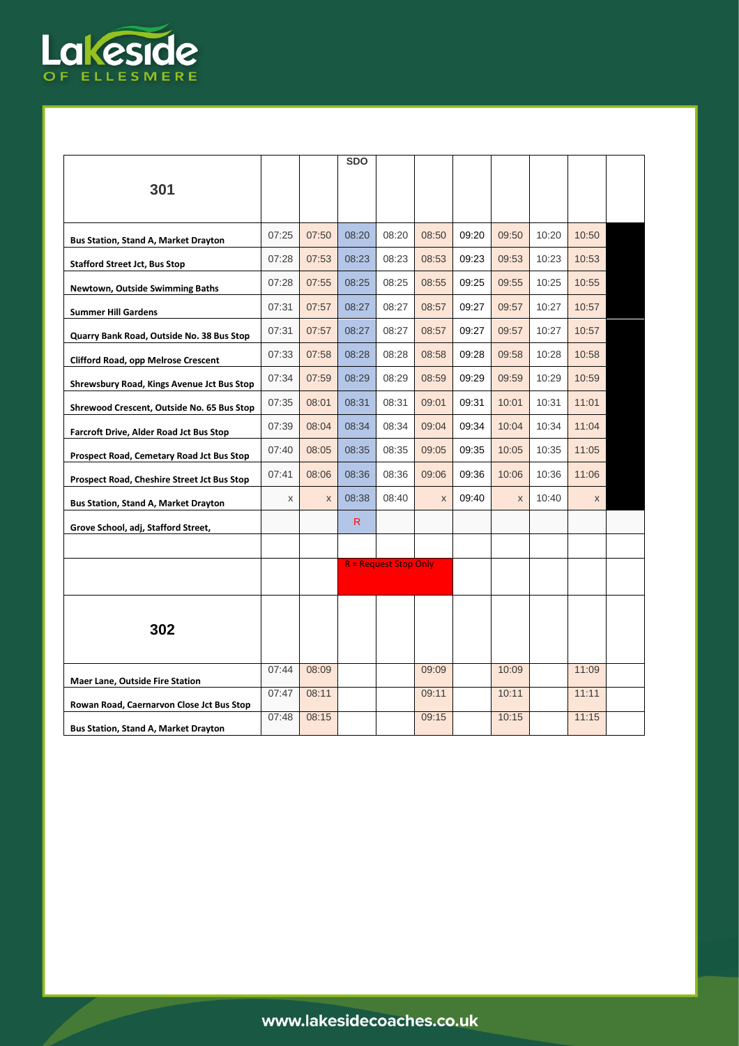

|                                             |       |       | <b>SDO</b> |                              |       |       |             |       |       |  |
|---------------------------------------------|-------|-------|------------|------------------------------|-------|-------|-------------|-------|-------|--|
| 301                                         |       |       |            |                              |       |       |             |       |       |  |
|                                             |       |       |            |                              |       |       |             |       |       |  |
|                                             |       |       |            |                              |       |       |             |       |       |  |
| Bus Station, Stand A, Market Drayton        | 07:25 | 07:50 | 08:20      | 08:20                        | 08:50 | 09:20 | 09:50       | 10:20 | 10:50 |  |
| <b>Stafford Street Jct, Bus Stop</b>        | 07:28 | 07:53 | 08:23      | 08:23                        | 08:53 | 09:23 | 09:53       | 10:23 | 10:53 |  |
| <b>Newtown, Outside Swimming Baths</b>      | 07:28 | 07:55 | 08:25      | 08:25                        | 08:55 | 09:25 | 09:55       | 10:25 | 10:55 |  |
| <b>Summer Hill Gardens</b>                  | 07:31 | 07:57 | 08:27      | 08:27                        | 08:57 | 09:27 | 09:57       | 10:27 | 10:57 |  |
| Quarry Bank Road, Outside No. 38 Bus Stop   | 07:31 | 07:57 | 08:27      | 08:27                        | 08:57 | 09:27 | 09:57       | 10:27 | 10:57 |  |
| <b>Clifford Road, opp Melrose Crescent</b>  | 07:33 | 07:58 | 08:28      | 08:28                        | 08:58 | 09:28 | 09:58       | 10:28 | 10:58 |  |
| Shrewsbury Road, Kings Avenue Jct Bus Stop  | 07:34 | 07:59 | 08:29      | 08:29                        | 08:59 | 09:29 | 09:59       | 10:29 | 10:59 |  |
| Shrewood Crescent, Outside No. 65 Bus Stop  | 07:35 | 08:01 | 08:31      | 08:31                        | 09:01 | 09:31 | 10:01       | 10:31 | 11:01 |  |
| Farcroft Drive, Alder Road Jct Bus Stop     | 07:39 | 08:04 | 08:34      | 08:34                        | 09:04 | 09:34 | 10:04       | 10:34 | 11:04 |  |
| Prospect Road, Cemetary Road Jct Bus Stop   | 07:40 | 08:05 | 08:35      | 08:35                        | 09:05 | 09:35 | 10:05       | 10:35 | 11:05 |  |
| Prospect Road, Cheshire Street Jct Bus Stop | 07:41 | 08:06 | 08:36      | 08:36                        | 09:06 | 09:36 | 10:06       | 10:36 | 11:06 |  |
| Bus Station, Stand A, Market Drayton        | X     | X     | 08:38      | 08:40                        | X     | 09:40 | $\mathsf X$ | 10:40 | X     |  |
|                                             |       |       | R.         |                              |       |       |             |       |       |  |
| Grove School, adj, Stafford Street,         |       |       |            |                              |       |       |             |       |       |  |
|                                             |       |       |            | <b>R</b> = Request Stop Only |       |       |             |       |       |  |
|                                             |       |       |            |                              |       |       |             |       |       |  |
|                                             |       |       |            |                              |       |       |             |       |       |  |
| 302                                         |       |       |            |                              |       |       |             |       |       |  |
|                                             |       |       |            |                              |       |       |             |       |       |  |
|                                             | 07:44 | 08:09 |            |                              | 09:09 |       | 10:09       |       | 11:09 |  |
| <b>Maer Lane, Outside Fire Station</b>      |       |       |            |                              |       |       |             |       |       |  |
| Rowan Road, Caernarvon Close Jct Bus Stop   | 07:47 | 08:11 |            |                              | 09:11 |       | 10:11       |       | 11:11 |  |
| <b>Bus Station, Stand A, Market Drayton</b> | 07:48 | 08:15 |            |                              | 09:15 |       | 10:15       |       | 11:15 |  |